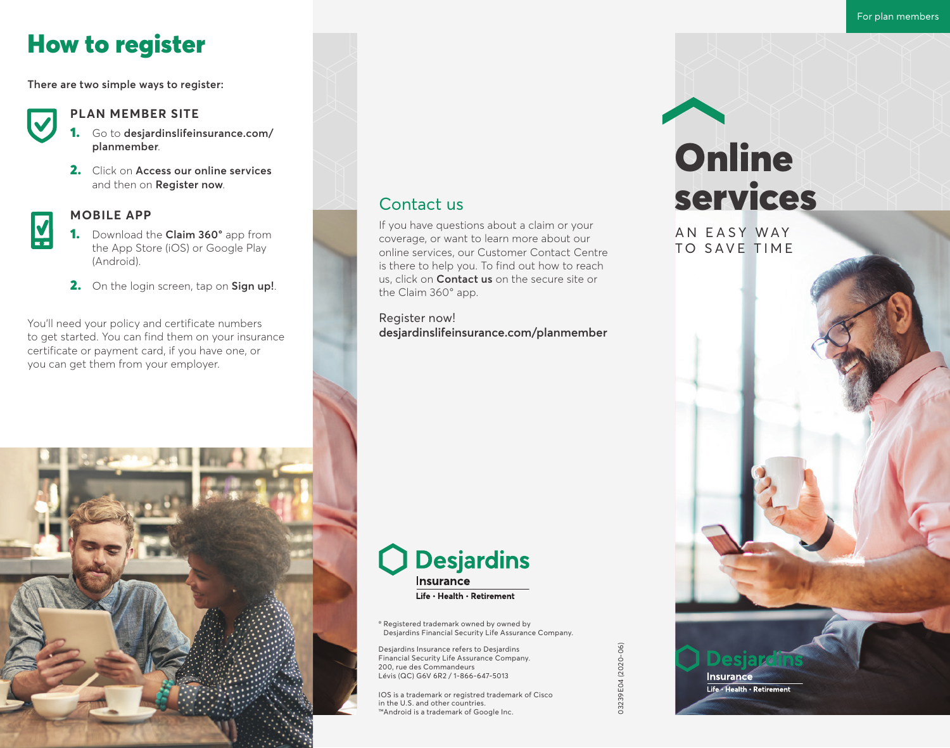# How to register

**There are two simple ways to register:**



#### **PLAN MEMBER SITE**

- 1. Go to **desjardinslifeinsurance.com/ planmember**.
- 2. Click on **Access our online services** and then on **Register now**.



#### **MOBILE APP**

- 1. Download the **Claim 360°** app from the App Store (iOS) or Google Play (Android).
- 2. On the login screen, tap on **Sign up!**.

You'll need your policy and certificate numbers to get started. You can find them on your insurance certificate or payment card, if you have one, or you can get them from your employer.

## Contact us

If you have questions about a claim or your coverage, or want to learn more about our online services, our Customer Contact Centre is there to help you. To find out how to reach us, click on **Contact us** on the secure site or the Claim 360° app.

Register now! **desjardinslifeinsurance.com/planmember**



# **Desjardins Insurance** Life · Health · Retirement

® Registered trademark owned by owned by Desjardins Financial Security Life Assurance Company.

Desjardins Insurance refers to Desjardins Financial Security Life Assurance Company. 200, rue des Commandeurs Lévis (QC) G6V 6R2 / 1-866-647-5013

IOS is a trademark or registred trademark of Cisco in the U.S. and other countries. ™Android is a trademark of Google Inc.

# **Online** services

AN EASY WAY